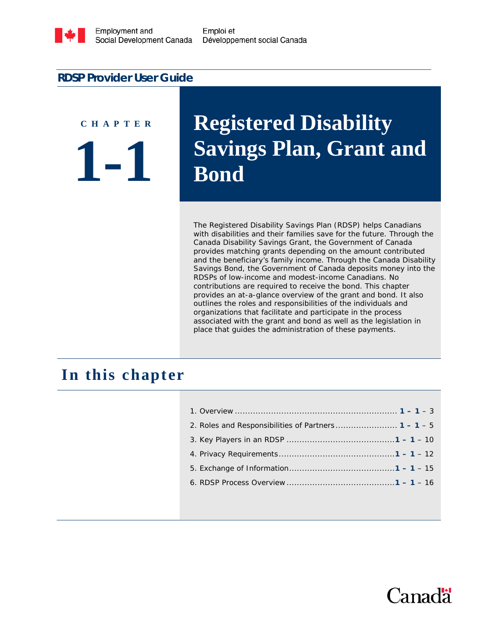

Emploi et Développement social Canada

#### **RDSP Provider User Guide**

# **1-1 C H A P T E R**

## **Registered Disability Savings Plan, Grant and Bond**

The Registered Disability Savings Plan (RDSP) helps Canadians with disabilities and their families save for the future. Through the Canada Disability Savings Grant, the Government of Canada provides matching grants depending on the amount contributed and the beneficiary's family income. Through the Canada Disability Savings Bond, the Government of Canada deposits money into the RDSPs of low-income and modest-income Canadians. No contributions are required to receive the bond. This chapter provides an at-a-glance overview of the grant and bond. It also outlines the roles and responsibilities of the individuals and organizations that facilitate and participate in the process associated with the grant and bond as well as the legislation in place that guides the administration of these payments.

## **In this chapter**

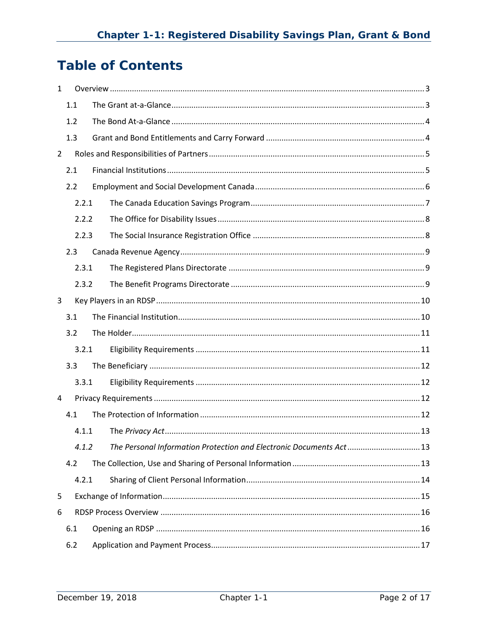## **Table of Contents**

| 1              |       |  |                                                                     |  |  |  |  |
|----------------|-------|--|---------------------------------------------------------------------|--|--|--|--|
|                | 1.1   |  |                                                                     |  |  |  |  |
|                | 1.2   |  |                                                                     |  |  |  |  |
|                | 1.3   |  |                                                                     |  |  |  |  |
| $\overline{2}$ |       |  |                                                                     |  |  |  |  |
|                | 2.1   |  |                                                                     |  |  |  |  |
|                | 2.2   |  |                                                                     |  |  |  |  |
|                | 2.2.1 |  |                                                                     |  |  |  |  |
|                | 2.2.2 |  |                                                                     |  |  |  |  |
|                | 2.2.3 |  |                                                                     |  |  |  |  |
|                | 2.3   |  |                                                                     |  |  |  |  |
|                | 2.3.1 |  |                                                                     |  |  |  |  |
|                | 2.3.2 |  |                                                                     |  |  |  |  |
| 3              |       |  |                                                                     |  |  |  |  |
|                | 3.1   |  |                                                                     |  |  |  |  |
|                | 3.2   |  |                                                                     |  |  |  |  |
|                | 3.2.1 |  |                                                                     |  |  |  |  |
|                | 3.3   |  |                                                                     |  |  |  |  |
|                | 3.3.1 |  |                                                                     |  |  |  |  |
| 4              |       |  |                                                                     |  |  |  |  |
|                | 4.1   |  |                                                                     |  |  |  |  |
| 4.1.1<br>4.1.2 |       |  |                                                                     |  |  |  |  |
|                |       |  | The Personal Information Protection and Electronic Documents Act 13 |  |  |  |  |
|                | 4.2   |  |                                                                     |  |  |  |  |
|                | 4.2.1 |  |                                                                     |  |  |  |  |
| 5              |       |  |                                                                     |  |  |  |  |
| 6              |       |  |                                                                     |  |  |  |  |
| 6.1            |       |  |                                                                     |  |  |  |  |
| 6.2            |       |  |                                                                     |  |  |  |  |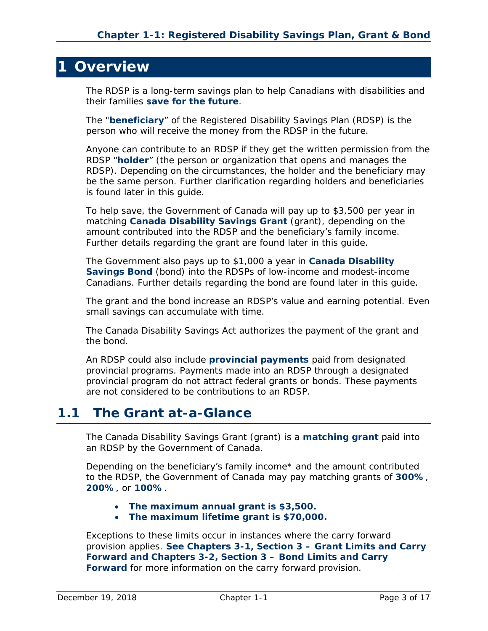## <span id="page-2-0"></span>**1 Overview**

The RDSP is a long-term savings plan to help Canadians with disabilities and their families **save for the future**.

The "**beneficiary**" of the Registered Disability Savings Plan (RDSP) is the person who will receive the money from the RDSP in the future.

Anyone can contribute to an RDSP if they get the written permission from the RDSP "**holder**" (the person or organization that opens and manages the RDSP). Depending on the circumstances, the holder and the beneficiary may be the same person. Further clarification regarding holders and beneficiaries is found later in this guide.

To help save, the Government of Canada will pay up to \$3,500 per year in matching **Canada Disability Savings Grant** (grant), depending on the amount contributed into the RDSP and the beneficiary's family income. Further details regarding the grant are found later in this guide.

The Government also pays up to \$1,000 a year in **Canada Disability Savings Bond** (bond) into the RDSPs of low-income and modest-income Canadians. Further details regarding the bond are found later in this guide.

The grant and the bond increase an RDSP's value and earning potential. Even small savings can accumulate with time.

The *Canada Disability Savings Act* authorizes the payment of the grant and the bond.

An RDSP could also include **provincial payments** paid from designated provincial programs. Payments made into an RDSP through a designated provincial program do not attract federal grants or bonds. These payments are not considered to be contributions to an RDSP.

## <span id="page-2-1"></span>**1.1 The Grant at-a-Glance**

The Canada Disability Savings Grant (grant) is a **matching grant** paid into an RDSP by the Government of Canada.

Depending on the beneficiary's family income\* and the amount contributed to the RDSP, the Government of Canada may pay matching grants of **300%**, **200%**, or **100%**.

- **The maximum annual grant is \$3,500.**
- **The maximum lifetime grant is \$70,000.**

Exceptions to these limits occur in instances where the carry forward provision applies. **See Chapters 3-1, Section 3 – Grant Limits and Carry Forward and Chapters 3-2, Section 3 – Bond Limits and Carry Forward** for more information on the carry forward provision.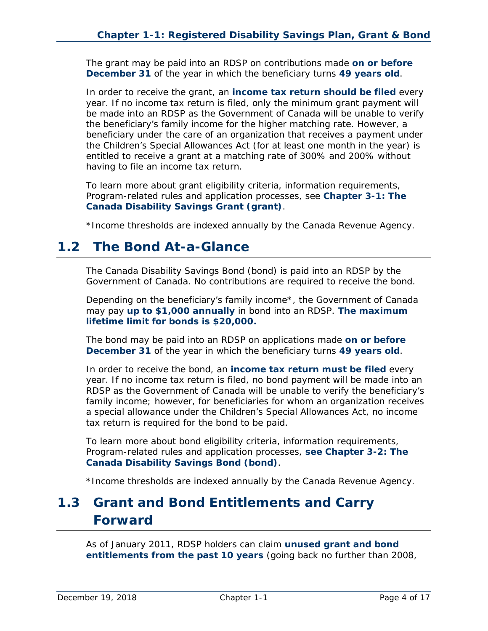The grant may be paid into an RDSP on contributions made **on or before December 31** of the year in which the beneficiary turns **49 years old**.

In order to receive the grant, an **income tax return should be filed** every year. If no income tax return is filed, only the minimum grant payment will be made into an RDSP as the Government of Canada will be unable to verify the beneficiary's family income for the higher matching rate. However, a beneficiary under the care of an organization that receives a payment under the *Children's Special Allowances Act* (for at least one month in the year) is entitled to receive a grant at a matching rate of 300% and 200% without having to file an income tax return.

To learn more about grant eligibility criteria, information requirements, Program-related rules and application processes, see **Chapter 3-1: The Canada Disability Savings Grant (grant)**.

*\*Income thresholds are indexed annually by the Canada Revenue Agency.*

## <span id="page-3-0"></span>**1.2 The Bond At-a-Glance**

The Canada Disability Savings Bond (bond) is paid into an RDSP by the Government of Canada. No contributions are required to receive the bond.

Depending on the beneficiary's family income\*, the Government of Canada may pay **up to \$1,000 annually** in bond into an RDSP. **The maximum lifetime limit for bonds is \$20,000.**

The bond may be paid into an RDSP on applications made **on or before December 31** of the year in which the beneficiary turns **49 years old**.

In order to receive the bond, an **income tax return must be filed** every year. If no income tax return is filed, no bond payment will be made into an RDSP as the Government of Canada will be unable to verify the beneficiary's family income; however, for beneficiaries for whom an organization receives a special allowance under the *Children's Special Allowances Act*, no income tax return is required for the bond to be paid.

To learn more about bond eligibility criteria, information requirements, Program-related rules and application processes, **see Chapter 3-2: The Canada Disability Savings Bond (bond)**.

*\*Income thresholds are indexed annually by the Canada Revenue Agency.*

## <span id="page-3-1"></span>**1.3 Grant and Bond Entitlements and Carry Forward**

As of January 2011, RDSP holders can claim **unused grant and bond entitlements from the past 10 years** (going back no further than 2008,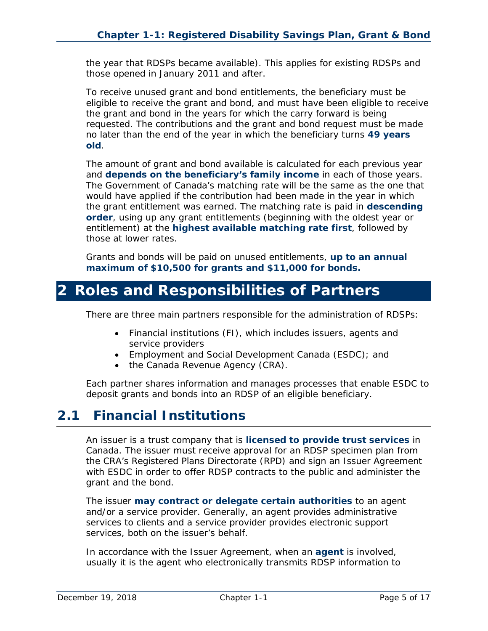the year that RDSPs became available). This applies for existing RDSPs and those opened in January 2011 and after.

To receive unused grant and bond entitlements, the beneficiary must be eligible to receive the grant and bond, and must have been eligible to receive the grant and bond in the years for which the carry forward is being requested. The contributions and the grant and bond request must be made no later than the end of the year in which the beneficiary turns **49 years old**.

The amount of grant and bond available is calculated for each previous year and **depends on the beneficiary's family income** in each of those years. The Government of Canada's matching rate will be the same as the one that would have applied if the contribution had been made in the year in which the grant entitlement was earned. The matching rate is paid in **descending order**, using up any grant entitlements (beginning with the oldest year or entitlement) at the **highest available matching rate first**, followed by those at lower rates.

Grants and bonds will be paid on unused entitlements, **up to an annual maximum of \$10,500 for grants and \$11,000 for bonds.**

## <span id="page-4-0"></span>**2 Roles and Responsibilities of Partners**

There are three main partners responsible for the administration of RDSPs:

- Financial institutions (FI), which includes issuers, agents and service providers
- Employment and Social Development Canada (ESDC); and
- the Canada Revenue Agency (CRA).

Each partner shares information and manages processes that enable ESDC to deposit grants and bonds into an RDSP of an eligible beneficiary.

## <span id="page-4-1"></span>**2.1 Financial Institutions**

An issuer is a trust company that is **licensed to provide trust services** in Canada. The issuer must receive approval for an RDSP specimen plan from the CRA's Registered Plans Directorate (RPD) and sign an Issuer Agreement with ESDC in order to offer RDSP contracts to the public and administer the grant and the bond.

The issuer **may contract or delegate certain authorities** to an agent and/or a service provider. Generally, an agent provides administrative services to clients and a service provider provides electronic support services, both on the issuer's behalf.

In accordance with the Issuer Agreement, when an **agent** is involved, usually it is the agent who electronically transmits RDSP information to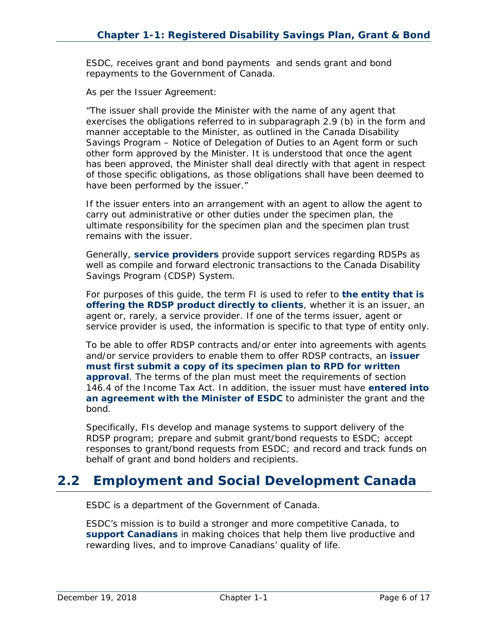ESDC, receives grant and bond payments and sends grant and bond repayments to the Government of Canada.

As per the Issuer Agreement:

"The issuer shall provide the Minister with the name of any agent that exercises the obligations referred to in subparagraph 2.9 (b) in the form and manner acceptable to the Minister, as outlined in the *Canada Disability Savings Program – Notice of Delegation of Duties to an Agent* form or such other form approved by the Minister. It is understood that once the agent has been approved, the Minister shall deal directly with that agent in respect of those specific obligations, as those obligations shall have been deemed to have been performed by the issuer."

If the issuer enters into an arrangement with an agent to allow the agent to carry out administrative or other duties under the specimen plan, the ultimate responsibility for the specimen plan and the specimen plan trust remains with the issuer.

Generally, **service providers** provide support services regarding RDSPs as well as compile and forward electronic transactions to the Canada Disability Savings Program (CDSP) System.

For purposes of this guide, the term FI is used to refer to **the entity that is offering the RDSP product directly to clients**, whether it is an issuer, an agent or, rarely, a service provider. If one of the terms issuer, agent or service provider is used, the information is specific to that type of entity only.

To be able to offer RDSP contracts and/or enter into agreements with agents and/or service providers to enable them to offer RDSP contracts, an **issuer must first submit a copy of its specimen plan to RPD for written approval**. The terms of the plan must meet the requirements of section 146.4 of the *Income Tax Act*. In addition, the issuer must have **entered into an agreement with the Minister of ESDC** to administer the grant and the bond.

Specifically, FIs develop and manage systems to support delivery of the RDSP program; prepare and submit grant/bond requests to ESDC; accept responses to grant/bond requests from ESDC; and record and track funds on behalf of grant and bond holders and recipients.

## <span id="page-5-0"></span>**2.2 Employment and Social Development Canada**

ESDC is a department of the Government of Canada.

ESDC's mission is to build a stronger and more competitive Canada, to **support Canadians** in making choices that help them live productive and rewarding lives, and to improve Canadians' quality of life.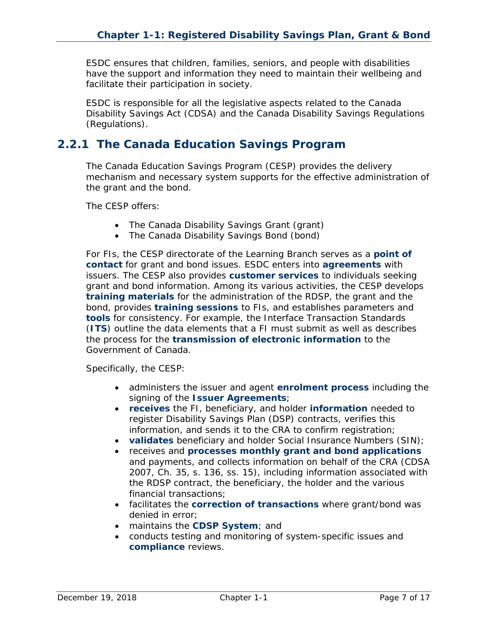ESDC ensures that children, families, seniors, and people with disabilities have the support and information they need to maintain their wellbeing and facilitate their participation in society.

ESDC is responsible for all the legislative aspects related to the *Canada Disability Savings Act* (CDSA) and the *Canada Disability Savings Regulations* (Regulations).

#### <span id="page-6-0"></span>**2.2.1 The Canada Education Savings Program**

The Canada Education Savings Program (CESP) provides the delivery mechanism and necessary system supports for the effective administration of the grant and the bond.

The CESP offers:

- The Canada Disability Savings Grant (grant)
- The Canada Disability Savings Bond (bond)

For FIs, the CESP directorate of the Learning Branch serves as a **point of contact** for grant and bond issues. ESDC enters into **agreements** with issuers. The CESP also provides **customer services** to individuals seeking grant and bond information. Among its various activities, the CESP develops **training materials** for the administration of the RDSP, the grant and the bond, provides **training sessions** to FIs, and establishes parameters and **tools** for consistency. For example, the Interface Transaction Standards (**ITS**) outline the data elements that a FI must submit as well as describes the process for the **transmission of electronic information** to the Government of Canada.

Specifically, the CESP:

- administers the issuer and agent **enrolment process** including the signing of the **Issuer Agreements**;
- **receives** the FI, beneficiary, and holder **information** needed to register Disability Savings Plan (DSP) contracts, verifies this information, and sends it to the CRA to confirm registration;
- **validates** beneficiary and holder Social Insurance Numbers (SIN);
- receives and **processes monthly grant and bond applications** and payments, and collects information on behalf of the CRA (CDSA 2007, Ch. 35, s. 136, ss. 15), including information associated with the RDSP contract, the beneficiary, the holder and the various financial transactions;
- facilitates the **correction of transactions** where grant/bond was denied in error;
- maintains the **CDSP System**; and
- conducts testing and monitoring of system-specific issues and **compliance** reviews.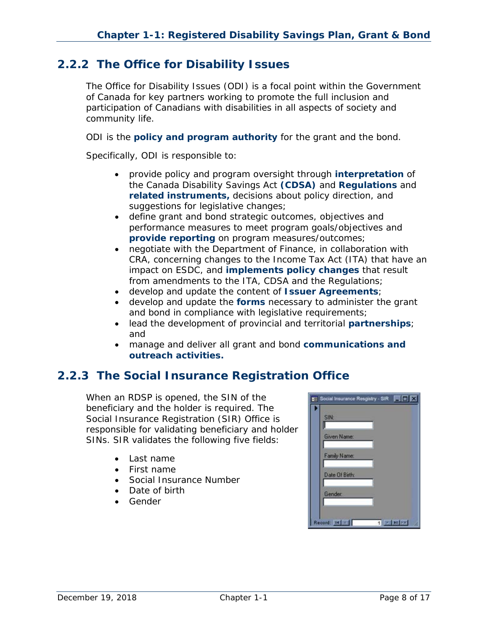#### <span id="page-7-0"></span>**2.2.2 The Office for Disability Issues**

The Office for Disability Issues (ODI) is a focal point within the Government of Canada for key partners working to promote the full inclusion and participation of Canadians with disabilities in all aspects of society and community life.

ODI is the **policy and program authority** for the grant and the bond.

Specifically, ODI is responsible to:

- provide policy and program oversight through **interpretation** of the *Canada Disability Savings Act* **(CDSA)** and **Regulations** and **related instruments,** decisions about policy direction, and suggestions for legislative changes;
- define grant and bond strategic outcomes, objectives and performance measures to meet program goals/objectives and **provide reporting** on program measures/outcomes;
- negotiate with the Department of Finance, in collaboration with CRA, concerning changes to the *Income Tax Act* (ITA) that have an impact on ESDC, and **implements policy changes** that result from amendments to the ITA, CDSA and the Regulations;
- develop and update the content of **Issuer Agreements**;
- develop and update the **forms** necessary to administer the grant and bond in compliance with legislative requirements;
- lead the development of provincial and territorial **partnerships**; and
- manage and deliver all grant and bond **communications and outreach activities.**

### <span id="page-7-1"></span>**2.2.3 The Social Insurance Registration Office**

When an RDSP is opened, the SIN of the beneficiary and the holder is required. The Social Insurance Registration (SIR) Office is responsible for validating beneficiary and holder SINs. SIR validates the following five fields:

- Last name
- First name
- Social Insurance Number
- Date of birth
- Gender

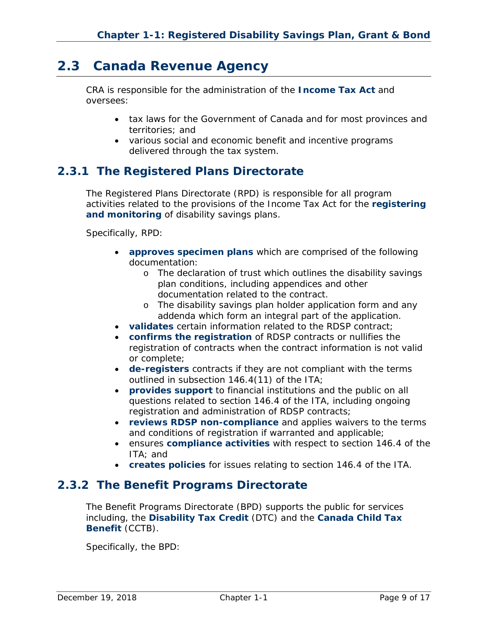## <span id="page-8-0"></span>**2.3 Canada Revenue Agency**

CRA is responsible for the administration of the *Income Tax Act* and oversees:

- tax laws for the Government of Canada and for most provinces and territories; and
- various social and economic benefit and incentive programs delivered through the tax system.

#### <span id="page-8-1"></span>**2.3.1 The Registered Plans Directorate**

The Registered Plans Directorate (RPD) is responsible for all program activities related to the provisions of the *Income Tax Act* for the **registering and monitoring** of disability savings plans.

Specifically, RPD:

- **approves specimen plans** which are comprised of the following documentation:
	- o The declaration of trust which outlines the disability savings plan conditions, including appendices and other documentation related to the contract.
	- o The disability savings plan holder application form and any addenda which form an integral part of the application.
- **validates** certain information related to the RDSP contract;
- **confirms the registration** of RDSP contracts or nullifies the registration of contracts when the contract information is not valid or complete;
- **de-registers** contracts if they are not compliant with the terms outlined in subsection 146.4(11) of the ITA;
- **provides support** to financial institutions and the public on all questions related to section 146.4 of the ITA, including ongoing registration and administration of RDSP contracts;
- **reviews RDSP non-compliance** and applies waivers to the terms and conditions of registration if warranted and applicable;
- ensures **compliance activities** with respect to section 146.4 of the ITA; and
- **creates policies** for issues relating to section 146.4 of the ITA.

#### <span id="page-8-2"></span>**2.3.2 The Benefit Programs Directorate**

The Benefit Programs Directorate (BPD) supports the public for services including, the **Disability Tax Credit** (DTC) and the **Canada Child Tax Benefit** (CCTB).

Specifically, the BPD: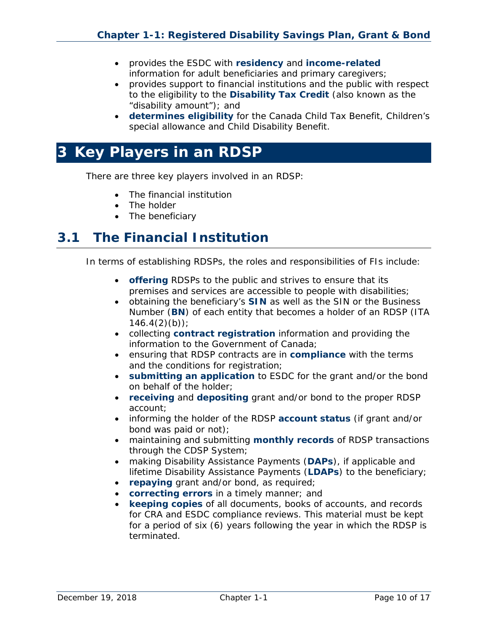- provides the ESDC with **residency** and **income-related** information for adult beneficiaries and primary caregivers;
- provides support to financial institutions and the public with respect to the eligibility to the **Disability Tax Credit** (also known as the "disability amount"); and
- **determines eligibility** for the Canada Child Tax Benefit, Children's special allowance and Child Disability Benefit.

## <span id="page-9-0"></span>**3 Key Players in an RDSP**

There are three key players involved in an RDSP:

- The financial institution
- The holder
- The beneficiary

## <span id="page-9-1"></span>**3.1 The Financial Institution**

In terms of establishing RDSPs, the roles and responsibilities of FIs include:

- **offering** RDSPs to the public and strives to ensure that its premises and services are accessible to people with disabilities;
- obtaining the beneficiary's **SIN** as well as the SIN or the Business Number (**BN**) of each entity that becomes a holder of an RDSP (ITA  $146.4(2)(b)$ ;
- collecting **contract registration** information and providing the information to the Government of Canada;
- ensuring that RDSP contracts are in **compliance** with the terms and the conditions for registration;
- **submitting an application** to ESDC for the grant and/or the bond on behalf of the holder;
- **receiving** and **depositing** grant and/or bond to the proper RDSP account;
- informing the holder of the RDSP **account status** (if grant and/or bond was paid or not);
- maintaining and submitting **monthly records** of RDSP transactions through the CDSP System;
- making Disability Assistance Payments (**DAPs**), if applicable and lifetime Disability Assistance Payments (**LDAPs**) to the beneficiary;
- **repaying** grant and/or bond, as required;
- **correcting errors** in a timely manner; and
- **keeping copies** of all documents, books of accounts, and records for CRA and ESDC compliance reviews. This material must be kept for a period of six (6) years following the year in which the RDSP is terminated.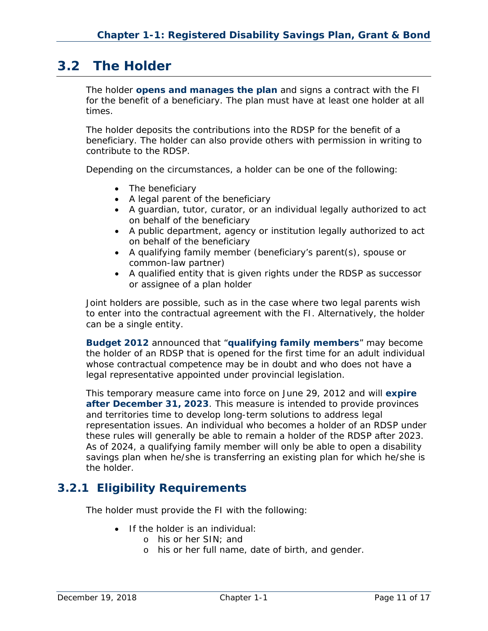## <span id="page-10-0"></span>**3.2 The Holder**

The holder **opens and manages the plan** and signs a contract with the FI for the benefit of a beneficiary. The plan must have at least one holder at all times.

The holder deposits the contributions into the RDSP for the benefit of a beneficiary. The holder can also provide others with permission in writing to contribute to the RDSP.

Depending on the circumstances, a holder can be one of the following:

- The beneficiary
- A legal parent of the beneficiary
- A guardian, tutor, curator, or an individual legally authorized to act on behalf of the beneficiary
- A public department, agency or institution legally authorized to act on behalf of the beneficiary
- A qualifying family member (beneficiary's parent(s), spouse or common-law partner)
- A qualified entity that is given rights under the RDSP as successor or assignee of a plan holder

Joint holders are possible, such as in the case where two legal parents wish to enter into the contractual agreement with the FI. Alternatively, the holder can be a single entity.

**Budget 2012** announced that "**qualifying family members**" may become the holder of an RDSP that is opened for the first time for an adult individual whose contractual competence may be in doubt and who does not have a legal representative appointed under provincial legislation.

This temporary measure came into force on June 29, 2012 and will **expire after December 31, 2023**. This measure is intended to provide provinces and territories time to develop long-term solutions to address legal representation issues. An individual who becomes a holder of an RDSP under these rules will generally be able to remain a holder of the RDSP after 2023. As of 2024, a qualifying family member will only be able to open a disability savings plan when he/she is transferring an existing plan for which he/she is the holder.

#### <span id="page-10-1"></span>**3.2.1 Eligibility Requirements**

The holder must provide the FI with the following:

- If the holder is an individual:
	- o his or her SIN; and
	- o his or her full name, date of birth, and gender.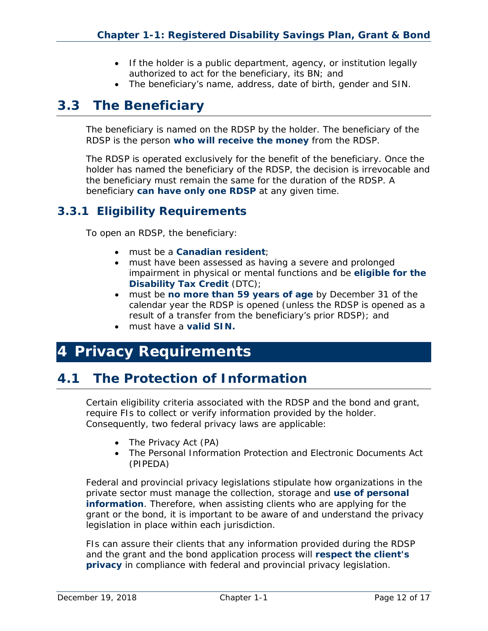- If the holder is a public department, agency, or institution legally authorized to act for the beneficiary, its BN; and
- The beneficiary's name, address, date of birth, gender and SIN.

## <span id="page-11-0"></span>**3.3 The Beneficiary**

The beneficiary is named on the RDSP by the holder. The beneficiary of the RDSP is the person **who will receive the money** from the RDSP.

The RDSP is operated exclusively for the benefit of the beneficiary. Once the holder has named the beneficiary of the RDSP, the decision is irrevocable and the beneficiary must remain the same for the duration of the RDSP. A beneficiary **can have only one RDSP** at any given time.

#### <span id="page-11-1"></span>**3.3.1 Eligibility Requirements**

To open an RDSP, the beneficiary:

- must be a **Canadian resident**;
- must have been assessed as having a severe and prolonged impairment in physical or mental functions and be **eligible for the Disability Tax Credit** (DTC);
- must be **no more than 59 years of age** by December 31 of the calendar year the RDSP is opened (unless the RDSP is opened as a result of a transfer from the beneficiary's prior RDSP); and
- must have a **valid SIN.**

## <span id="page-11-2"></span>**4 Privacy Requirements**

## <span id="page-11-3"></span>**4.1 The Protection of Information**

Certain eligibility criteria associated with the RDSP and the bond and grant, require FIs to collect or verify information provided by the holder. Consequently, two federal privacy laws are applicable:

- The *Privacy Act* (PA)
- The *Personal Information Protection and Electronic Documents Act* (PIPEDA)

Federal and provincial privacy legislations stipulate how organizations in the private sector must manage the collection, storage and **use of personal information**. Therefore, when assisting clients who are applying for the grant or the bond, it is important to be aware of and understand the privacy legislation in place within each jurisdiction.

FIs can assure their clients that any information provided during the RDSP and the grant and the bond application process will **respect the client's privacy** in compliance with federal and provincial privacy legislation.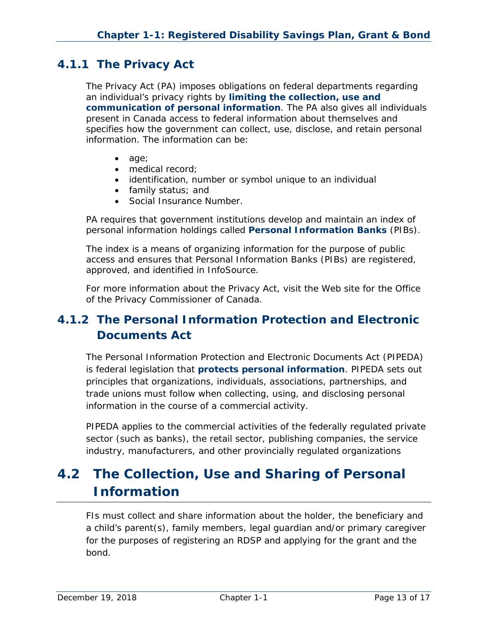#### <span id="page-12-0"></span>**4.1.1 The** *Privacy Act*

The *Privacy Act* (PA) imposes obligations on federal departments regarding an individual's privacy rights by **limiting the collection, use and communication of personal information**. The PA also gives all individuals present in Canada access to federal information about themselves and specifies how the government can collect, use, disclose, and retain personal information. The information can be:

- age;
- medical record:
- identification, number or symbol unique to an individual
- family status; and
- Social Insurance Number.

PA requires that government institutions develop and maintain an index of personal information holdings called **Personal Information Banks** (PIBs).

The index is a means of organizing information for the purpose of public access and ensures that Personal Information Banks (PIBs) are registered, approved, and identified in InfoSource.

For more information about the *Privacy Act*, visit the Web site for the Office of the Privacy Commissioner of Canada.

## <span id="page-12-1"></span>*4.1.2 The Personal Information Protection and Electronic Documents Act*

The *Personal Information Protection and Electronic Documents Act* (PIPEDA) is federal legislation that **protects personal information**. PIPEDA sets out principles that organizations, individuals, associations, partnerships, and trade unions must follow when collecting, using, and disclosing personal information in the course of a commercial activity.

PIPEDA applies to the commercial activities of the federally regulated private sector (such as banks), the retail sector, publishing companies, the service industry, manufacturers, and other provincially regulated organizations

## <span id="page-12-2"></span>**4.2 The Collection, Use and Sharing of Personal Information**

FIs must collect and share information about the holder, the beneficiary and a child's parent(s), family members, legal guardian and/or primary caregiver for the purposes of registering an RDSP and applying for the grant and the bond.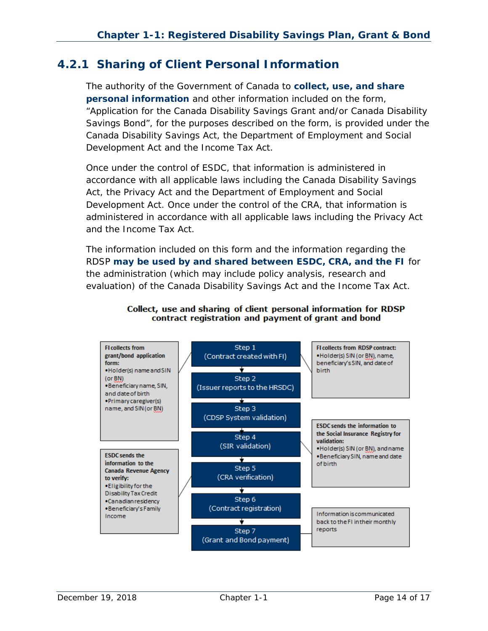#### <span id="page-13-0"></span>**4.2.1 Sharing of Client Personal Information**

The authority of the Government of Canada to **collect, use, and share personal information** and other information included on the form, "Application for the Canada Disability Savings Grant and/or Canada Disability Savings Bond", for the purposes described on the form, is provided under the *Canada Disability Savings Act*, the *Department of Employment and Social Development Act* and the *Income Tax Act*.

Once under the control of ESDC, that information is administered in accordance with all applicable laws including the *Canada Disability Savings Act*, the *Privacy Act* and the *Department of Employment and Social Development Act*. Once under the control of the CRA, that information is administered in accordance with all applicable laws including the *Privacy Act* and the *Income Tax Act*.

The information included on this form and the information regarding the RDSP **may be used by and shared between ESDC, CRA, and the FI** for the administration (which may include policy analysis, research and evaluation) of the *Canada Disability Savings Act* and the *Income Tax Act*.



#### Collect, use and sharing of client personal information for RDSP contract registration and payment of grant and bond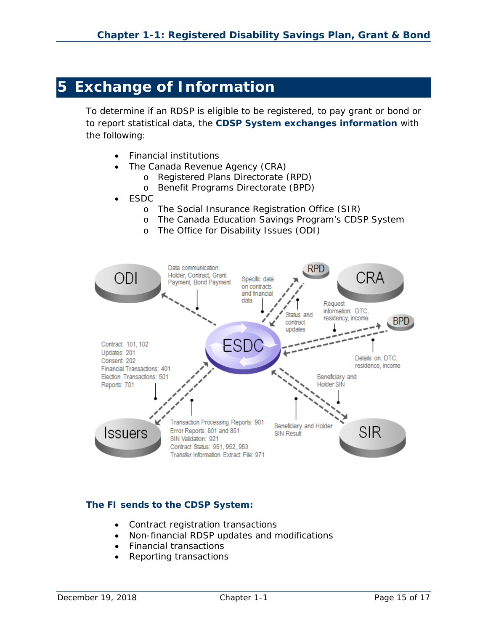## <span id="page-14-0"></span>**5 Exchange of Information**

To determine if an RDSP is eligible to be registered, to pay grant or bond or to report statistical data, the **CDSP System exchanges information** with the following:

- Financial institutions
- The Canada Revenue Agency (CRA)
	- o Registered Plans Directorate (RPD)
	- o Benefit Programs Directorate (BPD)
- ESDC
	- o The Social Insurance Registration Office (SIR)
	- o The Canada Education Savings Program's CDSP System
	- o The Office for Disability Issues (ODI)



#### **The FI sends to the CDSP System:**

- Contract registration transactions
- Non-financial RDSP updates and modifications
- Financial transactions
- Reporting transactions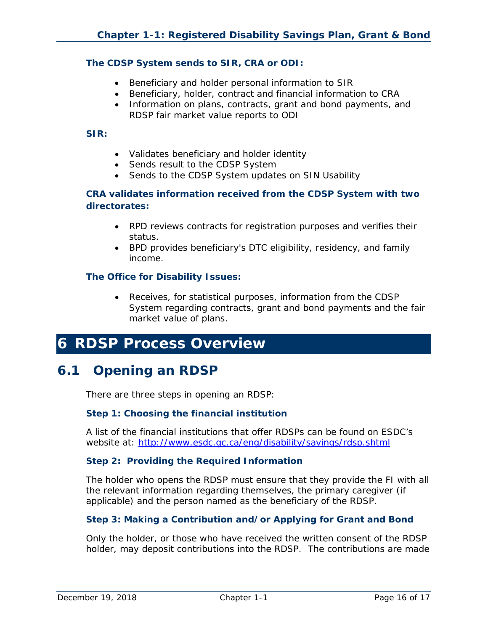#### **The CDSP System sends to SIR, CRA or ODI:**

- Beneficiary and holder personal information to SIR
- Beneficiary, holder, contract and financial information to CRA
- Information on plans, contracts, grant and bond payments, and RDSP fair market value reports to ODI

#### **SIR:**

- Validates beneficiary and holder identity
- Sends result to the CDSP System
- Sends to the CDSP System updates on SIN Usability

#### **CRA validates information received from the CDSP System with two directorates:**

- RPD reviews contracts for registration purposes and verifies their status.
- BPD provides beneficiary's DTC eligibility, residency, and family income.

#### **The Office for Disability Issues:**

• Receives, for statistical purposes, information from the CDSP System regarding contracts, grant and bond payments and the fair market value of plans.

## <span id="page-15-0"></span>**6 RDSP Process Overview**

## <span id="page-15-1"></span>**6.1 Opening an RDSP**

There are three steps in opening an RDSP:

#### **Step 1: Choosing the financial institution**

A list of the financial institutions that offer RDSPs can be found on ESDC's website at: http://www.esdc.gc.ca/eng/disability/savings/rdsp.shtml

#### **Step 2: Providing the Required Information**

The holder who opens the RDSP must ensure that they provide the FI with all the relevant information regarding themselves, the primary caregiver (if applicable) and the person named as the beneficiary of the RDSP.

#### **Step 3: Making a Contribution and/or Applying for Grant and Bond**

Only the holder, or those who have received the written consent of the RDSP holder, may deposit contributions into the RDSP. The contributions are made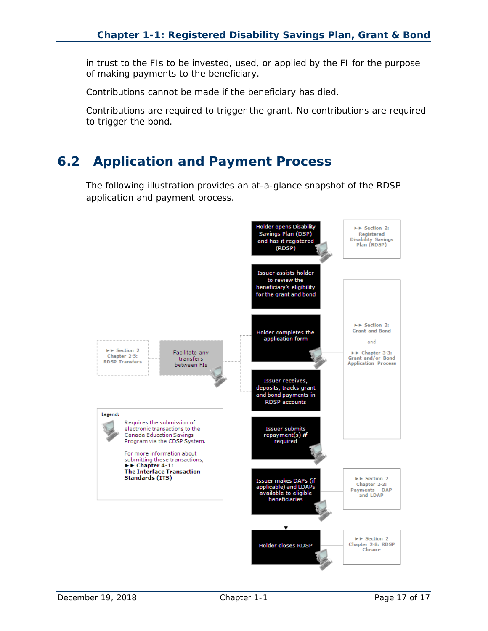in trust to the FIs to be invested, used, or applied by the FI for the purpose of making payments to the beneficiary.

Contributions cannot be made if the beneficiary has died.

Contributions are required to trigger the grant. No contributions are required to trigger the bond.

## <span id="page-16-0"></span>**6.2 Application and Payment Process**

The following illustration provides an at-a-glance snapshot of the RDSP application and payment process.

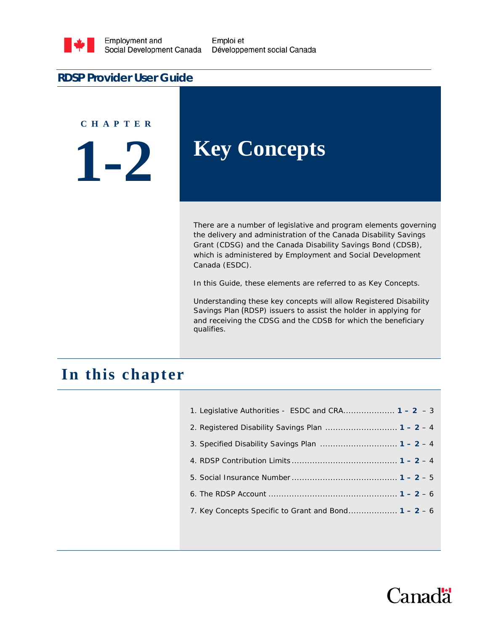

Emploi et Développement social Canada

#### **RDSP Provider User Guide**

**C H A P T E R**

**1-2**

## **Key Concepts**

There are a number of legislative and program elements governing the delivery and administration of the Canada Disability Savings Grant (CDSG) and the Canada Disability Savings Bond (CDSB), which is administered by Employment and Social Development Canada (ESDC).

In this Guide, these elements are referred to as *Key Concepts*.

Understanding these key concepts will allow Registered Disability Savings Plan (RDSP) issuers to assist the holder in applying for and receiving the CDSG and the CDSB for which the beneficiary qualifies.

## **In this chapter**

| 1. Legislative Authorities - ESDC and CRA $1 - 2 - 3$  |
|--------------------------------------------------------|
| 2. Registered Disability Savings Plan $1 - 2 - 4$      |
|                                                        |
|                                                        |
|                                                        |
|                                                        |
| 7. Key Concepts Specific to Grant and Bond $1 - 2 - 6$ |
|                                                        |

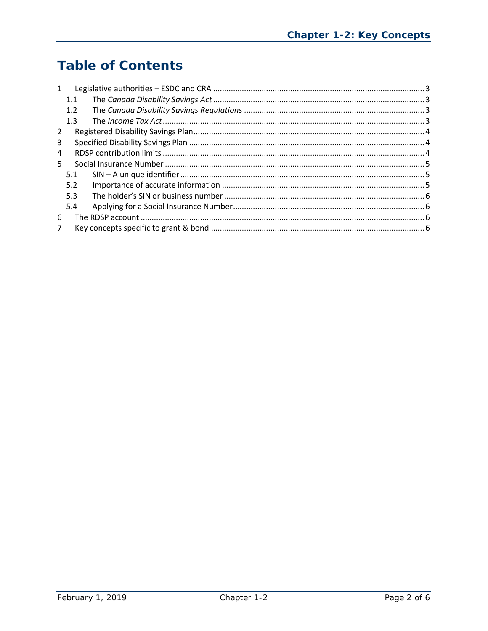## **Table of Contents**

| $\mathbf{1}$   |     |  |  |  |  |
|----------------|-----|--|--|--|--|
|                | 1.1 |  |  |  |  |
|                | 1.2 |  |  |  |  |
|                | 1.3 |  |  |  |  |
| 2              |     |  |  |  |  |
| 3              |     |  |  |  |  |
| 4              |     |  |  |  |  |
| 5.             |     |  |  |  |  |
|                | 5.1 |  |  |  |  |
|                | 5.2 |  |  |  |  |
|                | 5.3 |  |  |  |  |
|                | 5.4 |  |  |  |  |
| 6              |     |  |  |  |  |
| $\overline{7}$ |     |  |  |  |  |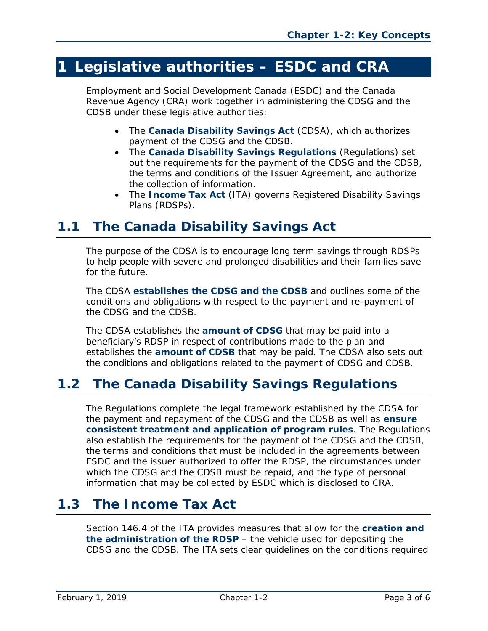## <span id="page-19-0"></span>**1 Legislative authorities – ESDC and CRA**

Employment and Social Development Canada (ESDC) and the Canada Revenue Agency (CRA) work together in administering the CDSG and the CDSB under these legislative authorities:

- The *Canada Disability Savings Act* (CDSA), which authorizes payment of the CDSG and the CDSB.
- The *Canada Disability Savings Regulations* (Regulations) set out the requirements for the payment of the CDSG and the CDSB, the terms and conditions of the Issuer Agreement, and authorize the collection of information.
- The *Income Tax Act* (ITA) governs Registered Disability Savings Plans (RDSPs).

## <span id="page-19-1"></span>**1.1 The** *Canada Disability Savings Act*

The purpose of the CDSA is to encourage long term savings through RDSPs to help people with severe and prolonged disabilities and their families save for the future.

The CDSA **establishes the CDSG and the CDSB** and outlines some of the conditions and obligations with respect to the payment and re-payment of the CDSG and the CDSB.

The CDSA establishes the **amount of CDSG** that may be paid into a beneficiary's RDSP in respect of contributions made to the plan and establishes the **amount of CDSB** that may be paid. The CDSA also sets out the conditions and obligations related to the payment of CDSG and CDSB.

## <span id="page-19-2"></span>**1.2 The** *Canada Disability Savings Regulations*

The Regulations complete the legal framework established by the CDSA for the payment and repayment of the CDSG and the CDSB as well as **ensure consistent treatment and application of program rules**. The Regulations also establish the requirements for the payment of the CDSG and the CDSB, the terms and conditions that must be included in the agreements between ESDC and the issuer authorized to offer the RDSP, the circumstances under which the CDSG and the CDSB must be repaid, and the type of personal information that may be collected by ESDC which is disclosed to CRA.

## <span id="page-19-3"></span>**1.3 The** *Income Tax Act*

Section 146.4 of the ITA provides measures that allow for the **creation and the administration of the RDSP** – the vehicle used for depositing the CDSG and the CDSB. The ITA sets clear guidelines on the conditions required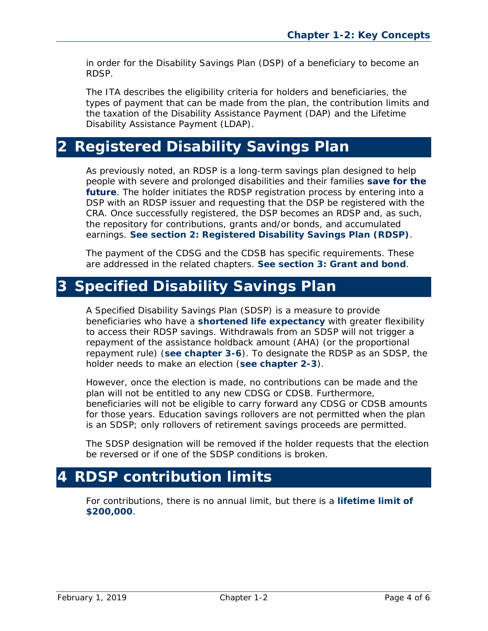in order for the Disability Savings Plan (DSP) of a beneficiary to become an RDSP.

The ITA describes the eligibility criteria for holders and beneficiaries, the types of payment that can be made from the plan, the contribution limits and the taxation of the Disability Assistance Payment (DAP) and the Lifetime Disability Assistance Payment (LDAP).

## <span id="page-20-0"></span>**2 Registered Disability Savings Plan**

As previously noted, an RDSP is a long-term savings plan designed to help people with severe and prolonged disabilities and their families **save for the future**. The holder initiates the RDSP registration process by entering into a DSP with an RDSP issuer and requesting that the DSP be registered with the CRA. Once successfully registered, the DSP becomes an RDSP and, as such, the repository for contributions, grants and/or bonds, and accumulated earnings. **See section 2: Registered Disability Savings Plan (RDSP)**.

The payment of the CDSG and the CDSB has specific requirements. These are addressed in the related chapters. **See section 3: Grant and bond**.

## <span id="page-20-1"></span>**3 Specified Disability Savings Plan**

A Specified Disability Savings Plan (SDSP) is a measure to provide beneficiaries who have a **shortened life expectancy** with greater flexibility to access their RDSP savings. Withdrawals from an SDSP will not trigger a repayment of the assistance holdback amount (AHA) (or the proportional repayment rule) (**see chapter 3-6**). To designate the RDSP as an SDSP, the holder needs to make an election (**see chapter 2-3**).

However, once the election is made, no contributions can be made and the plan will not be entitled to any new CDSG or CDSB. Furthermore, beneficiaries will not be eligible to carry forward any CDSG or CDSB amounts for those years. Education savings rollovers are not permitted when the plan is an SDSP; only rollovers of retirement savings proceeds are permitted.

<span id="page-20-2"></span>The SDSP designation will be removed if the holder requests that the election be reversed or if one of the SDSP conditions is broken.

## <span id="page-20-3"></span>**4 RDSP contribution limits**

For contributions, there is no annual limit, but there is a **lifetime limit of \$200,000**.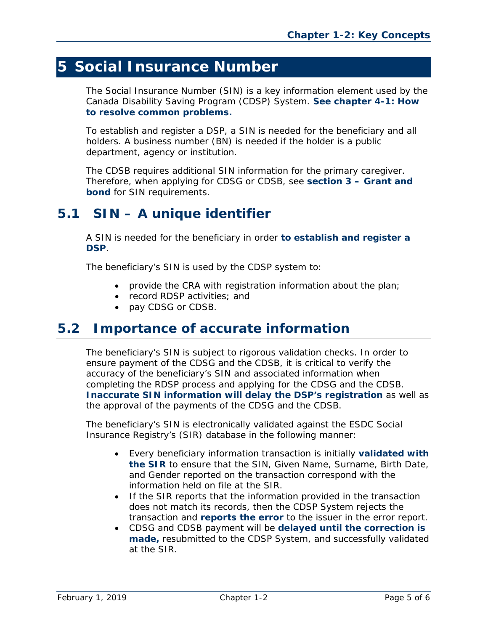## **5 Social Insurance Number**

The Social Insurance Number (SIN) is a key information element used by the Canada Disability Saving Program (CDSP) System. **See chapter 4-1: How to resolve common problems.**

<span id="page-21-0"></span>To establish and register a DSP, a SIN is needed for the beneficiary and all holders. A business number (BN) is needed if the holder is a public department, agency or institution.

The CDSB requires additional SIN information for the primary caregiver. Therefore, when applying for CDSG or CDSB, see **section 3 – Grant and bond** for SIN requirements.

## <span id="page-21-1"></span>**5.1 SIN – A unique identifier**

A SIN is needed for the beneficiary in order **to establish and register a DSP**.

The beneficiary's SIN is used by the CDSP system to:

- provide the CRA with registration information about the plan;
- record RDSP activities; and
- pay CDSG or CDSB.

### **5.2 Importance of accurate information**

The beneficiary's SIN is subject to rigorous validation checks. In order to ensure payment of the CDSG and the CDSB, it is critical to verify the accuracy of the beneficiary's SIN and associated information when completing the RDSP process and applying for the CDSG and the CDSB. **Inaccurate SIN information will delay the DSP's registration** as well as the approval of the payments of the CDSG and the CDSB.

The beneficiary's SIN is electronically validated against the ESDC Social Insurance Registry's (SIR) database in the following manner:

- Every beneficiary information transaction is initially **validated with the SIR** to ensure that the SIN, Given Name, Surname, Birth Date, and Gender reported on the transaction correspond with the information held on file at the SIR.
- <span id="page-21-2"></span>• If the SIR reports that the information provided in the transaction does not match its records, then the CDSP System rejects the transaction and **reports the error** to the issuer in the error report.
- CDSG and CDSB payment will be **delayed until the correction is made,** resubmitted to the CDSP System, and successfully validated at the SIR.